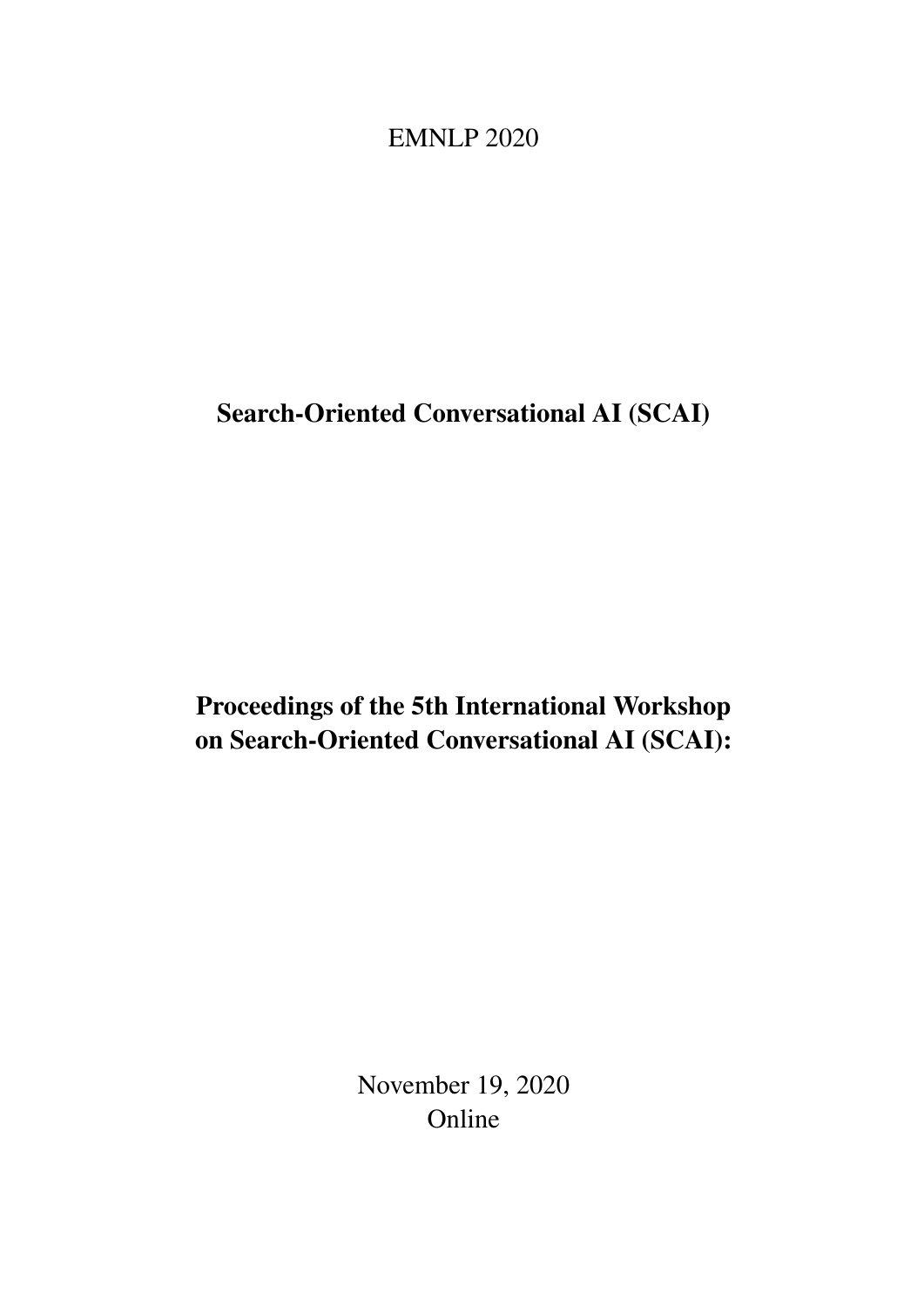<span id="page-0-0"></span>EMNLP 2020

Search-Oriented Conversational AI (SCAI)

Proceedings of the 5th International Workshop on Search-Oriented Conversational AI (SCAI):

> November 19, 2020 Online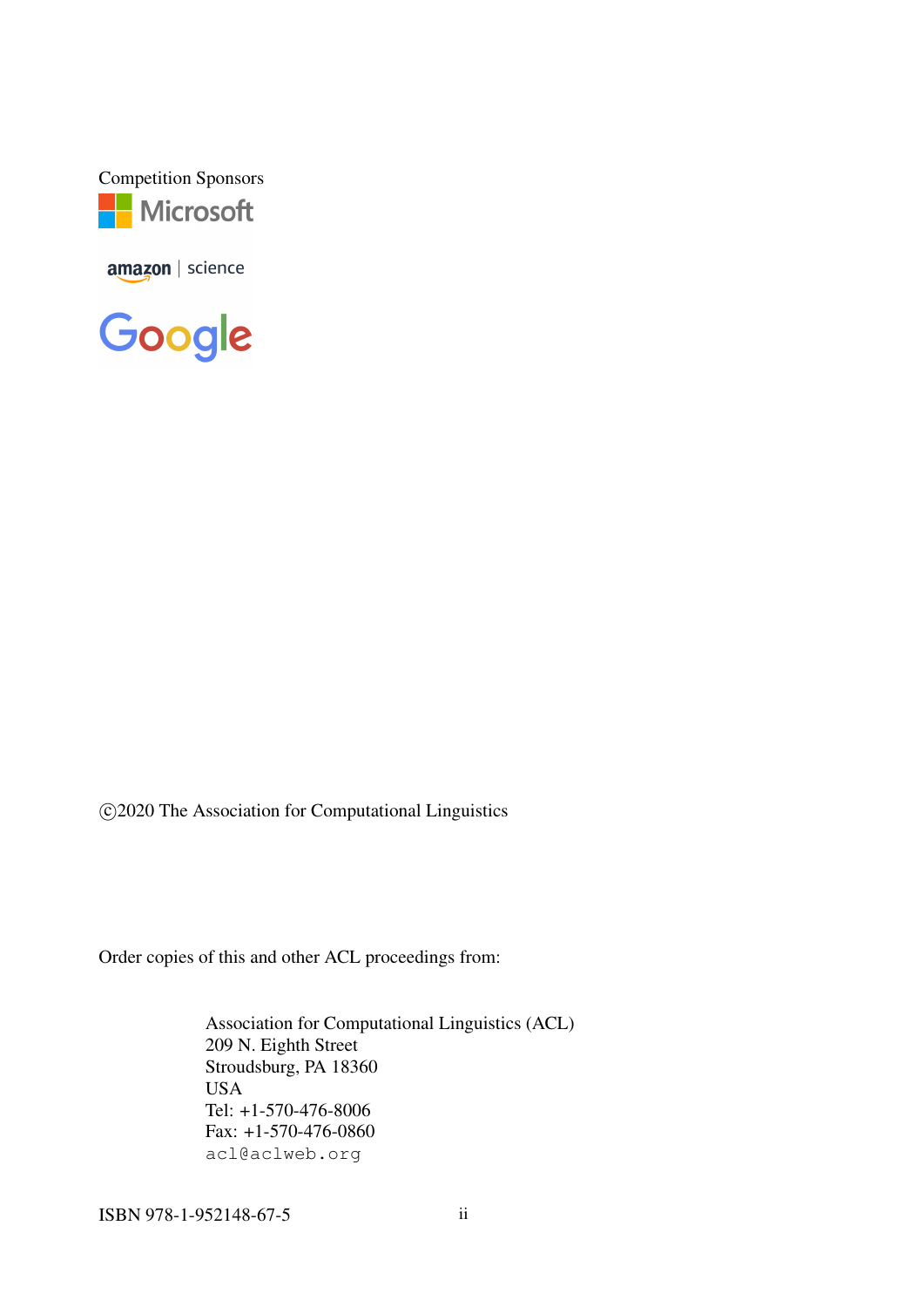Competition Sponsors **Microsoft** 

amazon | science

Google

c 2020 The Association for Computational Linguistics

Order copies of this and other ACL proceedings from:

Association for Computational Linguistics (ACL) 209 N. Eighth Street Stroudsburg, PA 18360 USA Tel: +1-570-476-8006 Fax: +1-570-476-0860 acl@aclweb.org

ISBN 978-1-952148-67-5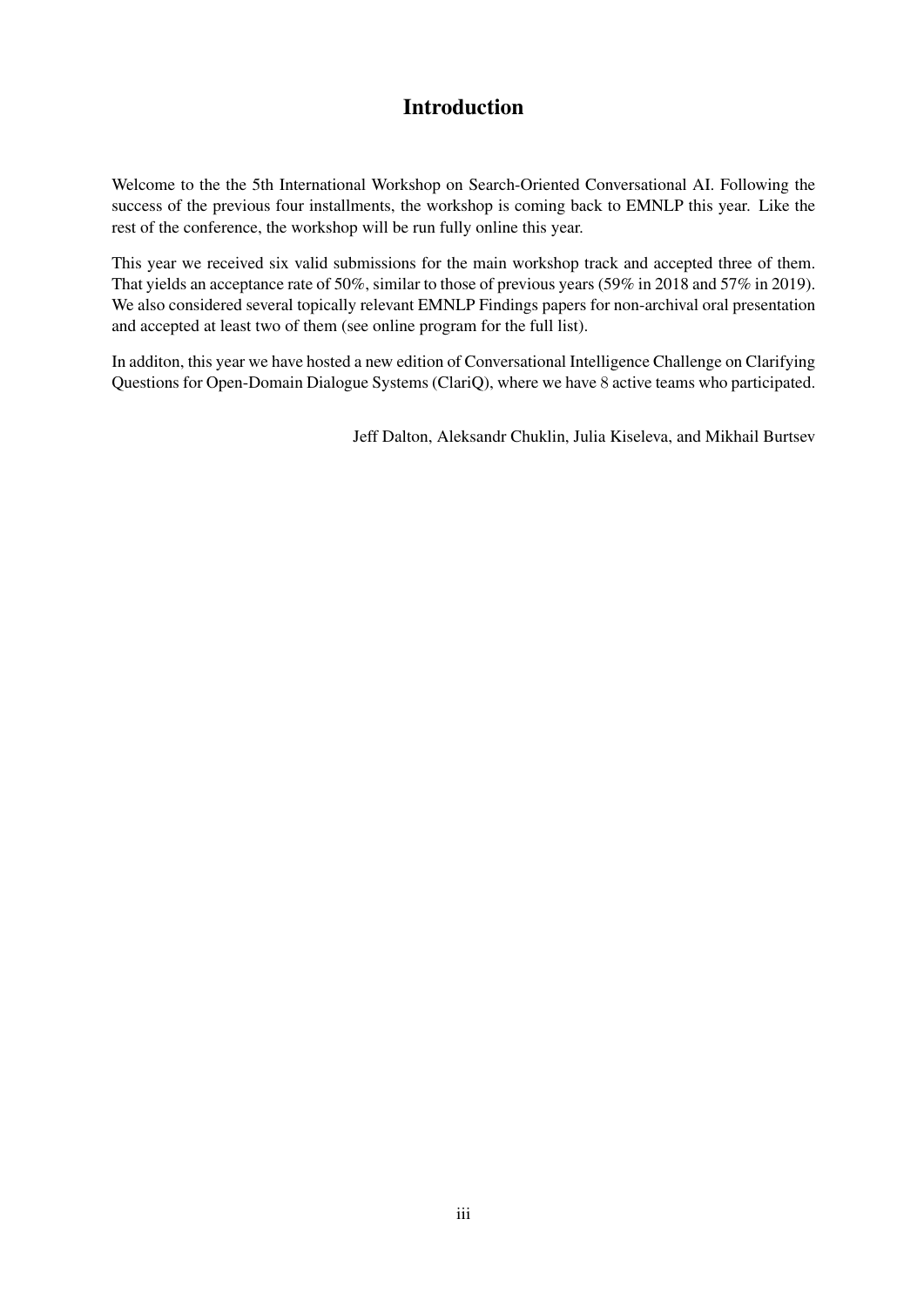# Introduction

Welcome to the the 5th International Workshop on Search-Oriented Conversational AI. Following the success of the previous four installments, the workshop is coming back to EMNLP this year. Like the rest of the conference, the workshop will be run fully online this year.

This year we received six valid submissions for the main workshop track and accepted three of them. That yields an acceptance rate of 50%, similar to those of previous years (59% in 2018 and 57% in 2019). We also considered several topically relevant EMNLP Findings papers for non-archival oral presentation and accepted at least two of them (see online program for the full list).

In additon, this year we have hosted a new edition of Conversational Intelligence Challenge on Clarifying Questions for Open-Domain Dialogue Systems (ClariQ), where we have 8 active teams who participated.

Jeff Dalton, Aleksandr Chuklin, Julia Kiseleva, and Mikhail Burtsev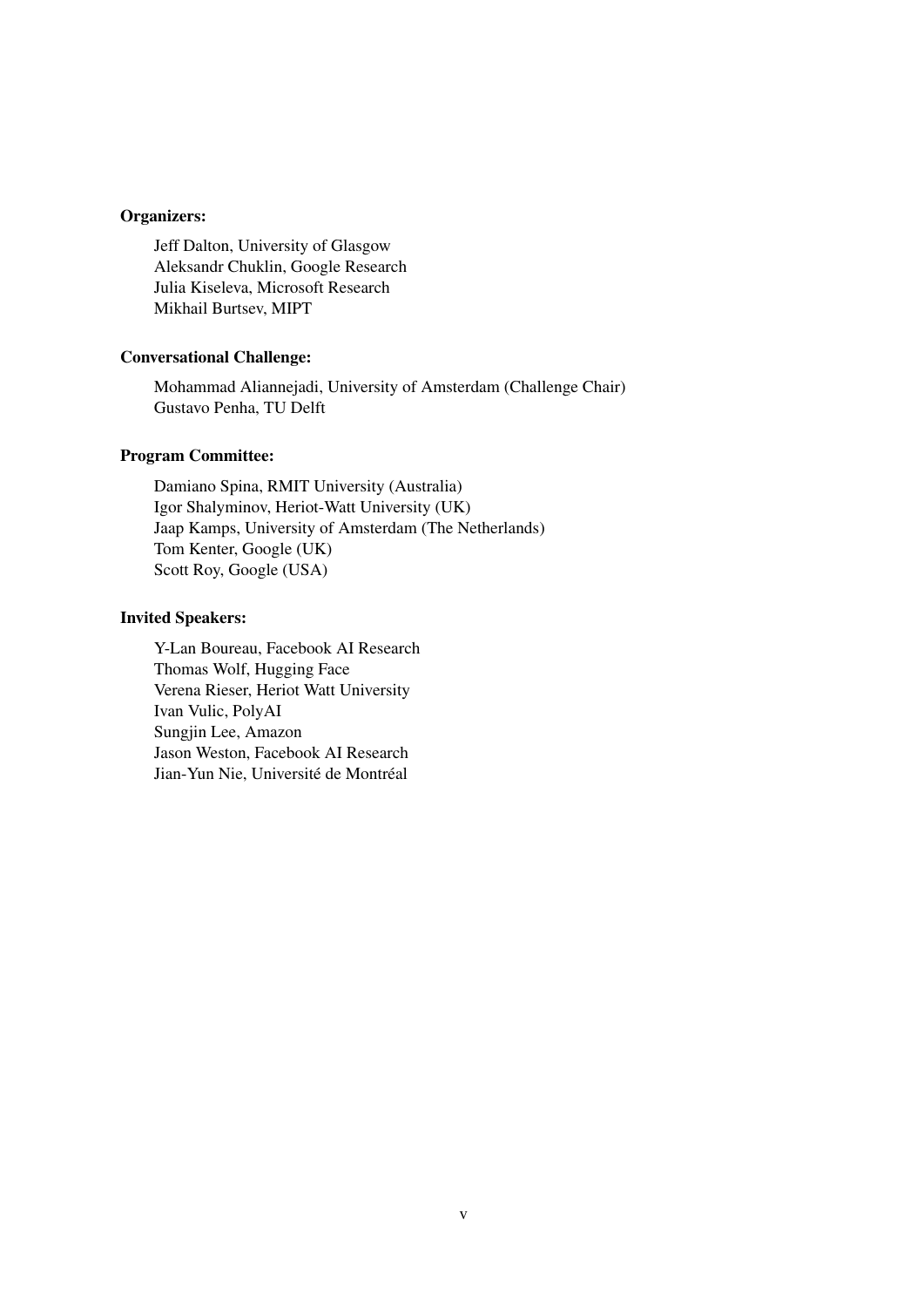## Organizers:

Jeff Dalton, University of Glasgow Aleksandr Chuklin, Google Research Julia Kiseleva, Microsoft Research Mikhail Burtsev, MIPT

#### Conversational Challenge:

Mohammad Aliannejadi, University of Amsterdam (Challenge Chair) Gustavo Penha, TU Delft

## Program Committee:

Damiano Spina, RMIT University (Australia) Igor Shalyminov, Heriot-Watt University (UK) Jaap Kamps, University of Amsterdam (The Netherlands) Tom Kenter, Google (UK) Scott Roy, Google (USA)

#### Invited Speakers:

Y-Lan Boureau, Facebook AI Research Thomas Wolf, Hugging Face Verena Rieser, Heriot Watt University Ivan Vulic, PolyAI Sungjin Lee, Amazon Jason Weston, Facebook AI Research Jian-Yun Nie, Université de Montréal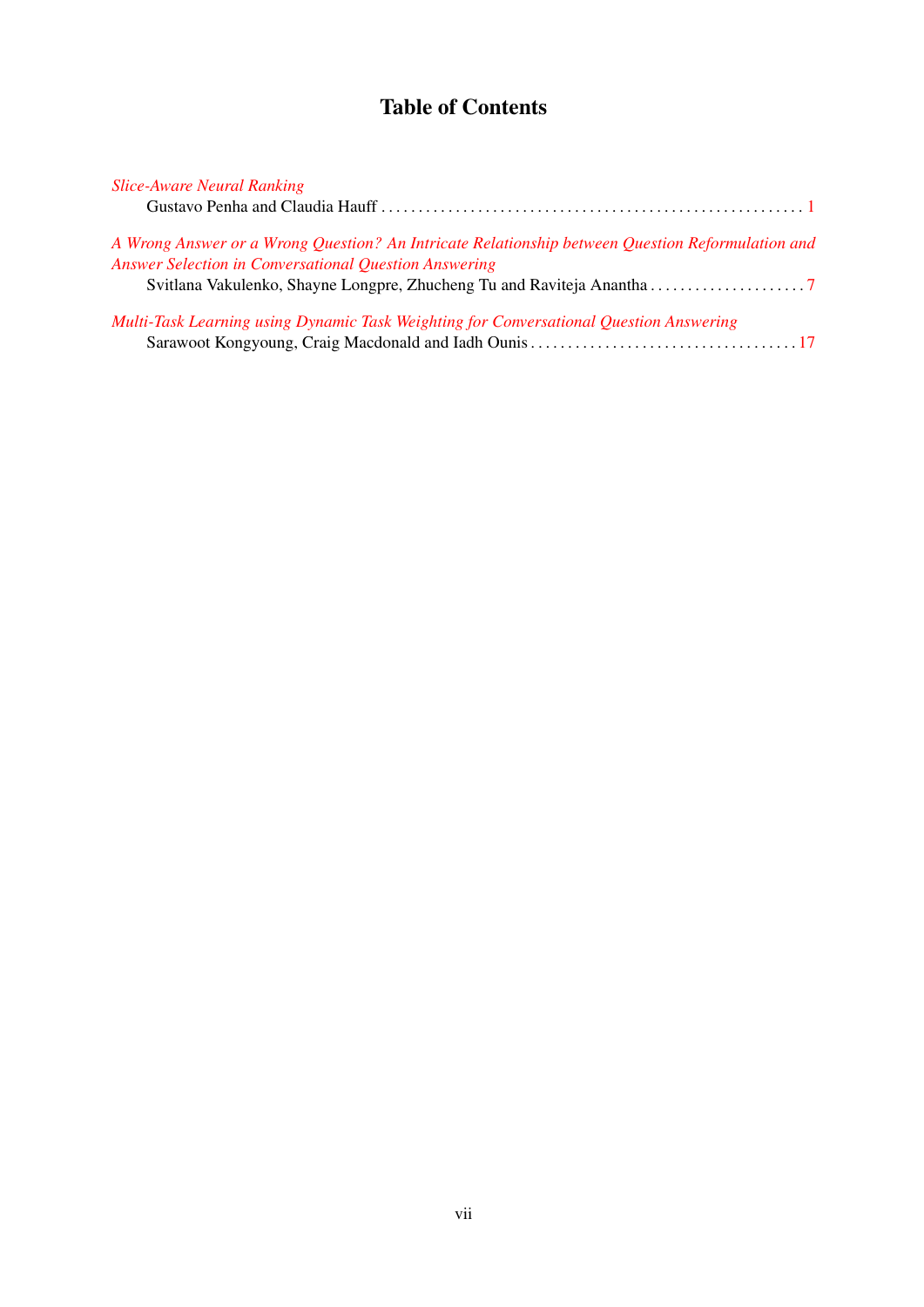# Table of Contents

| <b>Slice-Aware Neural Ranking</b>                                                                                                                                |
|------------------------------------------------------------------------------------------------------------------------------------------------------------------|
|                                                                                                                                                                  |
| A Wrong Answer or a Wrong Question? An Intricate Relationship between Question Reformulation and<br><b>Answer Selection in Conversational Question Answering</b> |
|                                                                                                                                                                  |
| Multi-Task Learning using Dynamic Task Weighting for Conversational Question Answering                                                                           |